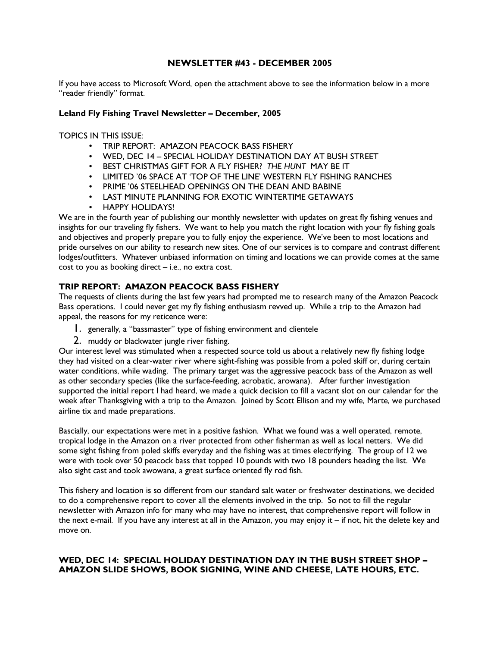## NEWSLETTER #43 - DECEMBER 2005

If you have access to Microsoft Word, open the attachment above to see the information below in a more "reader friendly" format.

### Leland Fly Fishing Travel Newsletter – December, 2005

TOPICS IN THIS ISSUE:

- TRIP REPORT: AMAZON PEACOCK BASS FISHERY
- WED, DEC 14 SPECIAL HOLIDAY DESTINATION DAY AT BUSH STREET
- BEST CHRISTMAS GIFT FOR A FLY FISHER? THE HUNT MAY BE IT
- LIMITED '06 SPACE AT 'TOP OF THE LINE' WESTERN FLY FISHING RANCHES
- PRIME '06 STEELHEAD OPENINGS ON THE DEAN AND BABINE
- LAST MINUTE PLANNING FOR EXOTIC WINTERTIME GETAWAYS
- HAPPY HOLIDAYS!

We are in the fourth year of publishing our monthly newsletter with updates on great fly fishing venues and insights for our traveling fly fishers. We want to help you match the right location with your fly fishing goals and objectives and properly prepare you to fully enjoy the experience. We've been to most locations and pride ourselves on our ability to research new sites. One of our services is to compare and contrast different lodges/outfitters. Whatever unbiased information on timing and locations we can provide comes at the same cost to you as booking direct – i.e., no extra cost.

### TRIP REPORT: AMAZON PEACOCK BASS FISHERY

The requests of clients during the last few years had prompted me to research many of the Amazon Peacock Bass operations. I could never get my fly fishing enthusiasm revved up. While a trip to the Amazon had appeal, the reasons for my reticence were:

- 1. generally, a "bassmaster" type of fishing environment and clientele
- 2. muddy or blackwater jungle river fishing.

Our interest level was stimulated when a respected source told us about a relatively new fly fishing lodge they had visited on a clear-water river where sight-fishing was possible from a poled skiff or, during certain water conditions, while wading. The primary target was the aggressive peacock bass of the Amazon as well as other secondary species (like the surface-feeding, acrobatic, arowana). After further investigation supported the initial report I had heard, we made a quick decision to fill a vacant slot on our calendar for the week after Thanksgiving with a trip to the Amazon. Joined by Scott Ellison and my wife, Marte, we purchased airline tix and made preparations.

Bascially, our expectations were met in a positive fashion. What we found was a well operated, remote, tropical lodge in the Amazon on a river protected from other fisherman as well as local netters. We did some sight fishing from poled skiffs everyday and the fishing was at times electrifying. The group of 12 we were with took over 50 peacock bass that topped 10 pounds with two 18 pounders heading the list. We also sight cast and took awowana, a great surface oriented fly rod fish.

This fishery and location is so different from our standard salt water or freshwater destinations, we decided to do a comprehensive report to cover all the elements involved in the trip. So not to fill the regular newsletter with Amazon info for many who may have no interest, that comprehensive report will follow in the next e-mail. If you have any interest at all in the Amazon, you may enjoy it – if not, hit the delete key and move on.

# WED, DEC 14: SPECIAL HOLIDAY DESTINATION DAY IN THE BUSH STREET SHOP – AMAZON SLIDE SHOWS, BOOK SIGNING, WINE AND CHEESE, LATE HOURS, ETC.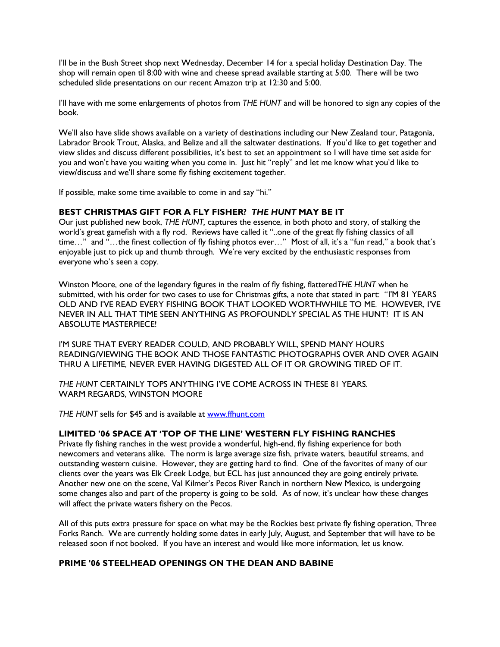I'll be in the Bush Street shop next Wednesday, December 14 for a special holiday Destination Day. The shop will remain open til 8:00 with wine and cheese spread available starting at 5:00. There will be two scheduled slide presentations on our recent Amazon trip at 12:30 and 5:00.

I'll have with me some enlargements of photos from THE HUNT and will be honored to sign any copies of the book.

We'll also have slide shows available on a variety of destinations including our New Zealand tour, Patagonia, Labrador Brook Trout, Alaska, and Belize and all the saltwater destinations. If you'd like to get together and view slides and discuss different possibilities, it's best to set an appointment so I will have time set aside for you and won't have you waiting when you come in. Just hit "reply" and let me know what you'd like to view/discuss and we'll share some fly fishing excitement together.

If possible, make some time available to come in and say "hi."

### BEST CHRISTMAS GIFT FOR A FLY FISHER? THE HUNT MAY BE IT

Our iust published new book, THE HUNT, captures the essence, in both photo and story, of stalking the world's great gamefish with a fly rod. Reviews have called it "..one of the great fly fishing classics of all time…" and "…the finest collection of fly fishing photos ever…" Most of all, it's a "fun read," a book that's enjoyable just to pick up and thumb through. We're very excited by the enthusiastic responses from everyone who's seen a copy.

Winston Moore, one of the legendary figures in the realm of fly fishing, flatteredTHE HUNT when he submitted, with his order for two cases to use for Christmas gifts, a note that stated in part: "I'M 81 YEARS OLD AND I'VE READ EVERY FISHING BOOK THAT LOOKED WORTHWHILE TO ME. HOWEVER, I'VE NEVER IN ALL THAT TIME SEEN ANYTHING AS PROFOUNDLY SPECIAL AS THE HUNT! IT IS AN ABSOLUTE MASTERPIECE!

I'M SURE THAT EVERY READER COULD, AND PROBABLY WILL, SPEND MANY HOURS READING/VIEWING THE BOOK AND THOSE FANTASTIC PHOTOGRAPHS OVER AND OVER AGAIN THRU A LIFETIME, NEVER EVER HAVING DIGESTED ALL OF IT OR GROWING TIRED OF IT.

THE HUNT CERTAINLY TOPS ANYTHING I'VE COME ACROSS IN THESE 81 YEARS. WARM REGARDS, WINSTON MOORE

THE HUNT sells for \$45 and is available at www.ffhunt.com

#### LIMITED '06 SPACE AT 'TOP OF THE LINE' WESTERN FLY FISHING RANCHES

Private fly fishing ranches in the west provide a wonderful, high-end, fly fishing experience for both newcomers and veterans alike. The norm is large average size fish, private waters, beautiful streams, and outstanding western cuisine. However, they are getting hard to find. One of the favorites of many of our clients over the years was Elk Creek Lodge, but ECL has just announced they are going entirely private. Another new one on the scene, Val Kilmer's Pecos River Ranch in northern New Mexico, is undergoing some changes also and part of the property is going to be sold. As of now, it's unclear how these changes will affect the private waters fishery on the Pecos.

All of this puts extra pressure for space on what may be the Rockies best private fly fishing operation, Three Forks Ranch. We are currently holding some dates in early July, August, and September that will have to be released soon if not booked. If you have an interest and would like more information, let us know.

## PRIME '06 STEELHEAD OPENINGS ON THE DEAN AND BABINE